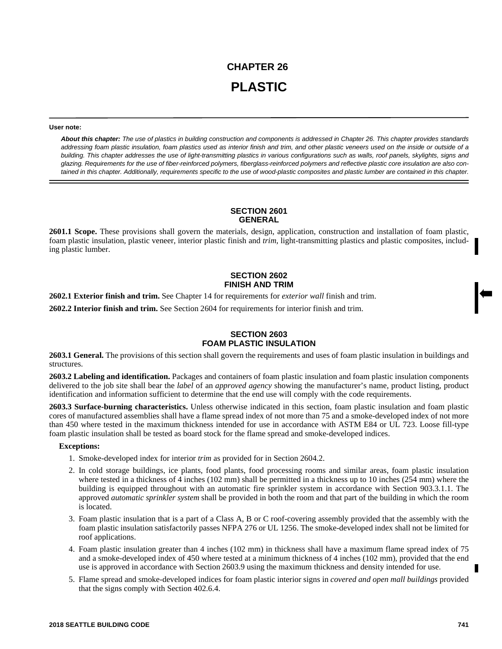# **CHAPTER 26 PLASTIC**

#### **User note:**

*About this chapter: The use of plastics in building construction and components is addressed in Chapter 26. This chapter provides standards addressing foam plastic insulation, foam plastics used as interior finish and trim, and other plastic veneers used on the inside or outside of a building. This chapter addresses the use of light-transmitting plastics in various configurations such as walls, roof panels, skylights, signs and glazing. Requirements for the use of fiber-reinforced polymers, fiberglass-reinforced polymers and reflective plastic core insulation are also contained in this chapter. Additionally, requirements specific to the use of wood-plastic composites and plastic lumber are contained in this chapter.*

# **SECTION 2601 GENERAL**

**2601.1 Scope.** These provisions shall govern the materials, design, application, construction and installation of foam plastic, foam plastic insulation, plastic veneer, interior plastic finish and *trim*, light-transmitting plastics and plastic composites, including plastic lumber.

## **SECTION 2602 FINISH AND TRIM**

**2602.1 Exterior finish and trim.** See Chapter 14 for requirements for *exterior wall* finish and trim.

**2602.2 Interior finish and trim.** See Section 2604 for requirements for interior finish and trim.

## **SECTION 2603 FOAM PLASTIC INSULATION**

**2603.1 General.** The provisions of this section shall govern the requirements and uses of foam plastic insulation in buildings and structures.

**2603.2 Labeling and identification.** Packages and containers of foam plastic insulation and foam plastic insulation components delivered to the job site shall bear the *label* of an *approved agency* showing the manufacturer's name, product listing, product identification and information sufficient to determine that the end use will comply with the code requirements.

**2603.3 Surface-burning characteristics.** Unless otherwise indicated in this section, foam plastic insulation and foam plastic cores of manufactured assemblies shall have a flame spread index of not more than 75 and a smoke-developed index of not more than 450 where tested in the maximum thickness intended for use in accordance with ASTM E84 or UL 723. Loose fill-type foam plastic insulation shall be tested as board stock for the flame spread and smoke-developed indices.

#### **Exceptions:**

- 1. Smoke-developed index for interior *trim* as provided for in Section 2604.2.
- 2. In cold storage buildings, ice plants, food plants, food processing rooms and similar areas, foam plastic insulation where tested in a thickness of 4 inches (102 mm) shall be permitted in a thickness up to 10 inches (254 mm) where the building is equipped throughout with an automatic fire sprinkler system in accordance with Section 903.3.1.1. The approved *automatic sprinkler system* shall be provided in both the room and that part of the building in which the room is located.
- 3. Foam plastic insulation that is a part of a Class A, B or C roof-covering assembly provided that the assembly with the foam plastic insulation satisfactorily passes NFPA 276 or UL 1256. The smoke-developed index shall not be limited for roof applications.
- 4. Foam plastic insulation greater than 4 inches (102 mm) in thickness shall have a maximum flame spread index of 75 and a smoke-developed index of 450 where tested at a minimum thickness of 4 inches (102 mm), provided that the end use is approved in accordance with Section 2603.9 using the maximum thickness and density intended for use.
- 5. Flame spread and smoke-developed indices for foam plastic interior signs in *covered and open mall buildings* provided that the signs comply with Section 402.6.4.

П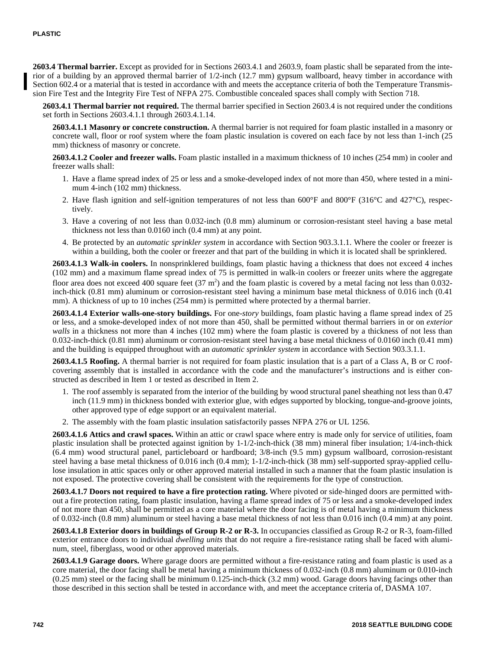**2603.4 Thermal barrier.** Except as provided for in Sections 2603.4.1 and 2603.9, foam plastic shall be separated from the interior of a building by an approved thermal barrier of 1/2-inch (12.7 mm) gypsum wallboard, heavy timber in accordance with Section 602.4 or a material that is tested in accordance with and meets the acceptance criteria of both the Temperature Transmission Fire Test and the Integrity Fire Test of NFPA 275. Combustible concealed spaces shall comply with Section 718.

**2603.4.1 Thermal barrier not required.** The thermal barrier specified in Section 2603.4 is not required under the conditions set forth in Sections 2603.4.1.1 through 2603.4.1.14.

**2603.4.1.1 Masonry or concrete construction.** A thermal barrier is not required for foam plastic installed in a masonry or concrete wall, floor or roof system where the foam plastic insulation is covered on each face by not less than 1-inch (25 mm) thickness of masonry or concrete.

**2603.4.1.2 Cooler and freezer walls.** Foam plastic installed in a maximum thickness of 10 inches (254 mm) in cooler and freezer walls shall:

- 1. Have a flame spread index of 25 or less and a smoke-developed index of not more than 450, where tested in a minimum 4-inch (102 mm) thickness.
- 2. Have flash ignition and self-ignition temperatures of not less than  $600^{\circ}$ F and  $800^{\circ}$ F (316<sup>°</sup>C and 427<sup>°</sup>C), respectively.
- 3. Have a covering of not less than 0.032-inch (0.8 mm) aluminum or corrosion-resistant steel having a base metal thickness not less than 0.0160 inch (0.4 mm) at any point.
- 4. Be protected by an *automatic sprinkler system* in accordance with Section 903.3.1.1. Where the cooler or freezer is within a building, both the cooler or freezer and that part of the building in which it is located shall be sprinklered.

**2603.4.1.3 Walk-in coolers.** In nonsprinklered buildings, foam plastic having a thickness that does not exceed 4 inches (102 mm) and a maximum flame spread index of 75 is permitted in walk-in coolers or freezer units where the aggregate floor area does not exceed 400 square feet  $(37 \text{ m}^2)$  and the foam plastic is covered by a metal facing not less than 0.032inch-thick (0.81 mm) aluminum or corrosion-resistant steel having a minimum base metal thickness of 0.016 inch (0.41 mm). A thickness of up to 10 inches (254 mm) is permitted where protected by a thermal barrier.

**2603.4.1.4 Exterior walls-one-story buildings.** For one-*story* buildings, foam plastic having a flame spread index of 25 or less, and a smoke-developed index of not more than 450, shall be permitted without thermal barriers in or on *exterior walls* in a thickness not more than 4 inches (102 mm) where the foam plastic is covered by a thickness of not less than 0.032-inch-thick (0.81 mm) aluminum or corrosion-resistant steel having a base metal thickness of 0.0160 inch (0.41 mm) and the building is equipped throughout with an *automatic sprinkler system* in accordance with Section 903.3.1.1.

**2603.4.1.5 Roofing.** A thermal barrier is not required for foam plastic insulation that is a part of a Class A, B or C roofcovering assembly that is installed in accordance with the code and the manufacturer's instructions and is either constructed as described in Item 1 or tested as described in Item 2.

- 1. The roof assembly is separated from the interior of the building by wood structural panel sheathing not less than 0.47 inch (11.9 mm) in thickness bonded with exterior glue, with edges supported by blocking, tongue-and-groove joints, other approved type of edge support or an equivalent material.
- 2. The assembly with the foam plastic insulation satisfactorily passes NFPA 276 or UL 1256.

**2603.4.1.6 Attics and crawl spaces.** Within an attic or crawl space where entry is made only for service of utilities, foam plastic insulation shall be protected against ignition by  $1-1/2$ -inch-thick (38 mm) mineral fiber insulation;  $1/4$ -inch-thick (6.4 mm) wood structural panel, particleboard or hardboard; 3/8-inch (9.5 mm) gypsum wallboard, corrosion-resistant steel having a base metal thickness of 0.016 inch (0.4 mm); 1-1/2-inch-thick (38 mm) self-supported spray-applied cellulose insulation in attic spaces only or other approved material installed in such a manner that the foam plastic insulation is not exposed. The protective covering shall be consistent with the requirements for the type of construction.

**2603.4.1.7 Doors not required to have a fire protection rating.** Where pivoted or side-hinged doors are permitted without a fire protection rating, foam plastic insulation, having a flame spread index of 75 or less and a smoke-developed index of not more than 450, shall be permitted as a core material where the door facing is of metal having a minimum thickness of 0.032-inch (0.8 mm) aluminum or steel having a base metal thickness of not less than 0.016 inch (0.4 mm) at any point.

**2603.4.1.8 Exterior doors in buildings of Group R-2 or R-3.** In occupancies classified as Group R-2 or R-3, foam-filled exterior entrance doors to individual *dwelling units* that do not require a fire-resistance rating shall be faced with aluminum, steel, fiberglass, wood or other approved materials.

**2603.4.1.9 Garage doors.** Where garage doors are permitted without a fire-resistance rating and foam plastic is used as a core material, the door facing shall be metal having a minimum thickness of 0.032-inch (0.8 mm) aluminum or 0.010-inch (0.25 mm) steel or the facing shall be minimum 0.125-inch-thick (3.2 mm) wood. Garage doors having facings other than those described in this section shall be tested in accordance with, and meet the acceptance criteria of, DASMA 107.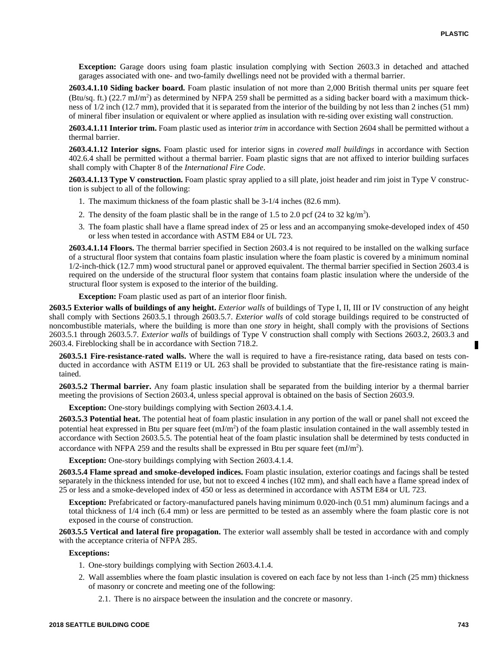**Exception:** Garage doors using foam plastic insulation complying with Section 2603.3 in detached and attached garages associated with one- and two-family dwellings need not be provided with a thermal barrier.

**2603.4.1.10 Siding backer board.** Foam plastic insulation of not more than 2,000 British thermal units per square feet  $(Btu/sq.$  ft.)  $(22.7 \text{ mJ/m}^2)$  as determined by NFPA 259 shall be permitted as a siding backer board with a maximum thickness of 1/2 inch (12.7 mm), provided that it is separated from the interior of the building by not less than 2 inches (51 mm) of mineral fiber insulation or equivalent or where applied as insulation with re-siding over existing wall construction.

**2603.4.1.11 Interior trim.** Foam plastic used as interior *trim* in accordance with Section 2604 shall be permitted without a thermal barrier.

**2603.4.1.12 Interior signs.** Foam plastic used for interior signs in *covered mall buildings* in accordance with Section 402.6.4 shall be permitted without a thermal barrier. Foam plastic signs that are not affixed to interior building surfaces shall comply with Chapter 8 of the *International Fire Code*.

**2603.4.1.13 Type V construction.** Foam plastic spray applied to a sill plate, joist header and rim joist in Type V construction is subject to all of the following:

- 1. The maximum thickness of the foam plastic shall be 3-1/4 inches (82.6 mm).
- 2. The density of the foam plastic shall be in the range of 1.5 to 2.0 pcf (24 to 32 kg/m<sup>3</sup>).
- 3. The foam plastic shall have a flame spread index of 25 or less and an accompanying smoke-developed index of 450 or less when tested in accordance with ASTM E84 or UL 723.

**2603.4.1.14 Floors.** The thermal barrier specified in Section 2603.4 is not required to be installed on the walking surface of a structural floor system that contains foam plastic insulation where the foam plastic is covered by a minimum nominal 1/2-inch-thick (12.7 mm) wood structural panel or approved equivalent. The thermal barrier specified in Section 2603.4 is required on the underside of the structural floor system that contains foam plastic insulation where the underside of the structural floor system is exposed to the interior of the building.

**Exception:** Foam plastic used as part of an interior floor finish.

**2603.5 Exterior walls of buildings of any height.** *Exterior walls* of buildings of Type I, II, III or IV construction of any height shall comply with Sections 2603.5.1 through 2603.5.7. *Exterior walls* of cold storage buildings required to be constructed of noncombustible materials, where the building is more than one *story* in height, shall comply with the provisions of Sections 2603.5.1 through 2603.5.7. *Exterior walls* of buildings of Type V construction shall comply with Sections 2603.2, 2603.3 and 2603.4. Fireblocking shall be in accordance with Section 718.2.

**2603.5.1 Fire-resistance-rated walls.** Where the wall is required to have a fire-resistance rating, data based on tests conducted in accordance with ASTM E119 or UL 263 shall be provided to substantiate that the fire-resistance rating is maintained.

**2603.5.2 Thermal barrier.** Any foam plastic insulation shall be separated from the building interior by a thermal barrier meeting the provisions of Section 2603.4, unless special approval is obtained on the basis of Section 2603.9.

**Exception:** One-story buildings complying with Section 2603.4.1.4.

**2603.5.3 Potential heat.** The potential heat of foam plastic insulation in any portion of the wall or panel shall not exceed the potential heat expressed in Btu per square feet (mJ/m<sup>2</sup>) of the foam plastic insulation contained in the wall assembly tested in accordance with Section 2603.5.5. The potential heat of the foam plastic insulation shall be determined by tests conducted in accordance with NFPA 259 and the results shall be expressed in Btu per square feet  $(mJ/m<sup>2</sup>)$ .

**Exception:** One-story buildings complying with Section 2603.4.1.4.

**2603.5.4 Flame spread and smoke-developed indices.** Foam plastic insulation, exterior coatings and facings shall be tested separately in the thickness intended for use, but not to exceed 4 inches (102 mm), and shall each have a flame spread index of 25 or less and a smoke-developed index of 450 or less as determined in accordance with ASTM E84 or UL 723.

**Exception:** Prefabricated or factory-manufactured panels having minimum 0.020-inch (0.51 mm) aluminum facings and a total thickness of 1/4 inch (6.4 mm) or less are permitted to be tested as an assembly where the foam plastic core is not exposed in the course of construction.

**2603.5.5 Vertical and lateral fire propagation.** The exterior wall assembly shall be tested in accordance with and comply with the acceptance criteria of NFPA 285.

### **Exceptions:**

- 1. One-story buildings complying with Section 2603.4.1.4.
- 2. Wall assemblies where the foam plastic insulation is covered on each face by not less than 1-inch (25 mm) thickness of masonry or concrete and meeting one of the following:
	- 2.1. There is no airspace between the insulation and the concrete or masonry.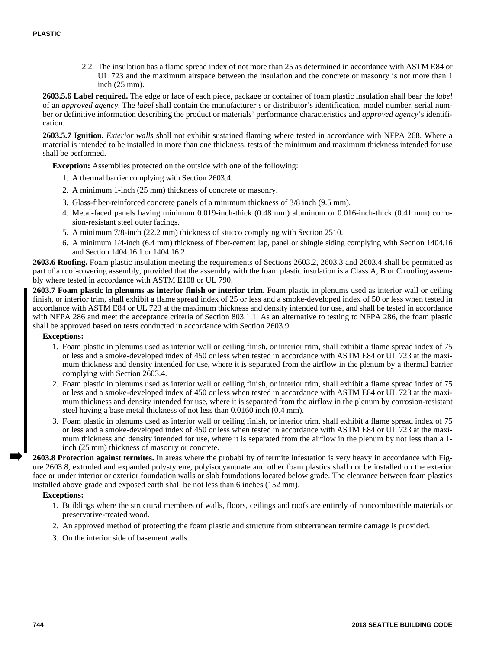2.2. The insulation has a flame spread index of not more than 25 as determined in accordance with ASTM E84 or UL 723 and the maximum airspace between the insulation and the concrete or masonry is not more than 1 inch (25 mm).

**2603.5.6 Label required.** The edge or face of each piece, package or container of foam plastic insulation shall bear the *label* of an *approved agency*. The *label* shall contain the manufacturer's or distributor's identification, model number, serial number or definitive information describing the product or materials' performance characteristics and *approved agency*'s identification.

**2603.5.7 Ignition.** *Exterior walls* shall not exhibit sustained flaming where tested in accordance with NFPA 268. Where a material is intended to be installed in more than one thickness, tests of the minimum and maximum thickness intended for use shall be performed.

**Exception:** Assemblies protected on the outside with one of the following:

- 1. A thermal barrier complying with Section 2603.4.
- 2. A minimum 1-inch (25 mm) thickness of concrete or masonry.
- 3. Glass-fiber-reinforced concrete panels of a minimum thickness of 3/8 inch (9.5 mm).
- 4. Metal-faced panels having minimum 0.019-inch-thick (0.48 mm) aluminum or 0.016-inch-thick (0.41 mm) corrosion-resistant steel outer facings.
- 5. A minimum 7/8-inch (22.2 mm) thickness of stucco complying with Section 2510.
- 6. A minimum 1/4-inch (6.4 mm) thickness of fiber-cement lap, panel or shingle siding complying with Section 1404.16 and Section 1404.16.1 or 1404.16.2.

**2603.6 Roofing.** Foam plastic insulation meeting the requirements of Sections 2603.2, 2603.3 and 2603.4 shall be permitted as part of a roof-covering assembly, provided that the assembly with the foam plastic insulation is a Class A, B or C roofing assembly where tested in accordance with ASTM E108 or UL 790.

**2603.7 Foam plastic in plenums as interior finish or interior trim.** Foam plastic in plenums used as interior wall or ceiling finish, or interior trim, shall exhibit a flame spread index of 25 or less and a smoke-developed index of 50 or less when tested in accordance with ASTM E84 or UL 723 at the maximum thickness and density intended for use, and shall be tested in accordance with NFPA 286 and meet the acceptance criteria of Section 803.1.1. As an alternative to testing to NFPA 286, the foam plastic shall be approved based on tests conducted in accordance with Section 2603.9.

#### **Exceptions:**

- 1. Foam plastic in plenums used as interior wall or ceiling finish, or interior trim, shall exhibit a flame spread index of 75 or less and a smoke-developed index of 450 or less when tested in accordance with ASTM E84 or UL 723 at the maximum thickness and density intended for use, where it is separated from the airflow in the plenum by a thermal barrier complying with Section 2603.4.
- 2. Foam plastic in plenums used as interior wall or ceiling finish, or interior trim, shall exhibit a flame spread index of 75 or less and a smoke-developed index of 450 or less when tested in accordance with ASTM E84 or UL 723 at the maximum thickness and density intended for use, where it is separated from the airflow in the plenum by corrosion-resistant steel having a base metal thickness of not less than 0.0160 inch (0.4 mm).
- 3. Foam plastic in plenums used as interior wall or ceiling finish, or interior trim, shall exhibit a flame spread index of 75 or less and a smoke-developed index of 450 or less when tested in accordance with ASTM E84 or UL 723 at the maximum thickness and density intended for use, where it is separated from the airflow in the plenum by not less than a 1 inch (25 mm) thickness of masonry or concrete.

**2603.8 Protection against termites.** In areas where the probability of termite infestation is very heavy in accordance with Figure 2603.8, extruded and expanded polystyrene, polyisocyanurate and other foam plastics shall not be installed on the exterior face or under interior or exterior foundation walls or slab foundations located below grade. The clearance between foam plastics installed above grade and exposed earth shall be not less than 6 inches (152 mm).

#### **Exceptions:**

- 1. Buildings where the structural members of walls, floors, ceilings and roofs are entirely of noncombustible materials or preservative-treated wood.
- 2. An approved method of protecting the foam plastic and structure from subterranean termite damage is provided.
- 3. On the interior side of basement walls.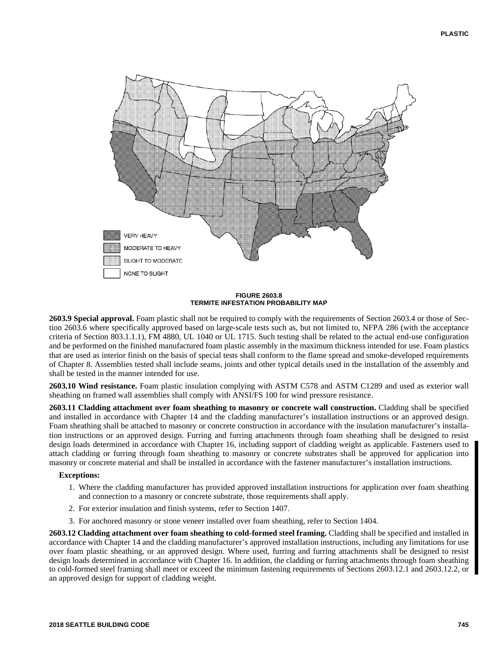

**FIGURE 2603.8 TERMITE INFESTATION PROBABILITY MAP**

**2603.9 Special approval.** Foam plastic shall not be required to comply with the requirements of Section 2603.4 or those of Section 2603.6 where specifically approved based on large-scale tests such as, but not limited to, NFPA 286 (with the acceptance criteria of Section 803.1.1.1), FM 4880, UL 1040 or UL 1715. Such testing shall be related to the actual end-use configuration and be performed on the finished manufactured foam plastic assembly in the maximum thickness intended for use. Foam plastics that are used as interior finish on the basis of special tests shall conform to the flame spread and smoke-developed requirements of Chapter 8. Assemblies tested shall include seams, joints and other typical details used in the installation of the assembly and shall be tested in the manner intended for use.

**2603.10 Wind resistance.** Foam plastic insulation complying with ASTM C578 and ASTM C1289 and used as exterior wall sheathing on framed wall assemblies shall comply with ANSI/FS 100 for wind pressure resistance.

**2603.11 Cladding attachment over foam sheathing to masonry or concrete wall construction.** Cladding shall be specified and installed in accordance with Chapter 14 and the cladding manufacturer's installation instructions or an approved design. Foam sheathing shall be attached to masonry or concrete construction in accordance with the insulation manufacturer's installation instructions or an approved design. Furring and furring attachments through foam sheathing shall be designed to resist design loads determined in accordance with Chapter 16, including support of cladding weight as applicable. Fasteners used to attach cladding or furring through foam sheathing to masonry or concrete substrates shall be approved for application into masonry or concrete material and shall be installed in accordance with the fastener manufacturer's installation instructions.

# **Exceptions:**

- 1. Where the cladding manufacturer has provided approved installation instructions for application over foam sheathing and connection to a masonry or concrete substrate, those requirements shall apply.
- 2. For exterior insulation and finish systems, refer to Section 1407.
- 3. For anchored masonry or stone veneer installed over foam sheathing, refer to Section 1404.

**2603.12 Cladding attachment over foam sheathing to cold-formed steel framing.** Cladding shall be specified and installed in accordance with Chapter 14 and the cladding manufacturer's approved installation instructions, including any limitations for use over foam plastic sheathing, or an approved design. Where used, furring and furring attachments shall be designed to resist design loads determined in accordance with Chapter 16. In addition, the cladding or furring attachments through foam sheathing to cold-formed steel framing shall meet or exceed the minimum fastening requirements of Sections 2603.12.1 and 2603.12.2, or an approved design for support of cladding weight.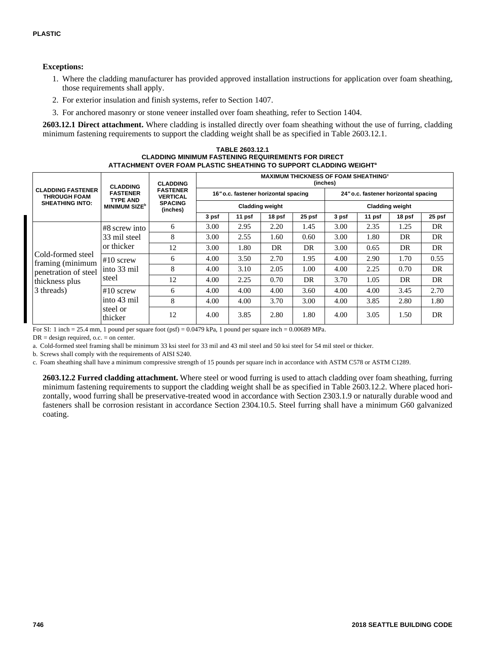## **Exceptions:**

- 1. Where the cladding manufacturer has provided approved installation instructions for application over foam sheathing, those requirements shall apply.
- 2. For exterior insulation and finish systems, refer to Section 1407.
- 3. For anchored masonry or stone veneer installed over foam sheathing, refer to Section 1404.

**2603.12.1 Direct attachment.** Where cladding is installed directly over foam sheathing without the use of furring, cladding minimum fastening requirements to support the cladding weight shall be as specified in Table 2603.12.1.

#### **TABLE 2603.12.1 CLADDING MINIMUM FASTENING REQUIREMENTS FOR DIRECT ATTACHMENT OVER FOAM PLASTIC SHEATHING TO SUPPORT CLADDING WEIGHT<sup>a</sup>**

|                                                                           | <b>CLADDING</b>                                                        | <b>CLADDING</b><br><b>FASTENER</b><br><b>VERTICAL</b><br><b>SPACING</b><br>(inches) | <b>MAXIMUM THICKNESS OF FOAM SHEATHING<sup>®</sup></b><br>(inches) |                                      |                        |        |                                      |        |        |        |  |  |
|---------------------------------------------------------------------------|------------------------------------------------------------------------|-------------------------------------------------------------------------------------|--------------------------------------------------------------------|--------------------------------------|------------------------|--------|--------------------------------------|--------|--------|--------|--|--|
| <b>CLADDING FASTENER</b><br><b>THROUGH FOAM</b><br><b>SHEATHING INTO:</b> | <b>FASTENER</b><br><b>TYPE AND</b><br><b>MINIMUM SIZE</b> <sup>b</sup> |                                                                                     |                                                                    | 16" o.c. fastener horizontal spacing |                        |        | 24" o.c. fastener horizontal spacing |        |        |        |  |  |
|                                                                           |                                                                        |                                                                                     |                                                                    |                                      | <b>Cladding weight</b> |        | <b>Cladding weight</b>               |        |        |        |  |  |
|                                                                           |                                                                        |                                                                                     | 3 psf                                                              | 11 psf                               | 18 psf                 | 25 psf | 3 psf                                | 11 psf | 18 psf | 25 psf |  |  |
|                                                                           | $#8$ screw into                                                        | 6                                                                                   | 3.00                                                               | 2.95                                 | 2.20                   | 1.45   | 3.00                                 | 2.35   | 1.25   | DR     |  |  |
|                                                                           | 33 mil steel                                                           | 8                                                                                   | 3.00                                                               | 2.55                                 | 1.60                   | 0.60   | 3.00                                 | 1.80   | DR     | DR     |  |  |
|                                                                           | or thicker                                                             | 12                                                                                  | 3.00                                                               | 1.80                                 | DR                     | DR     | 3.00                                 | 0.65   | DR     | DR     |  |  |
| Cold-formed steel<br>framing (minimum                                     | $#10$ screw                                                            | 6                                                                                   | 4.00                                                               | 3.50                                 | 2.70                   | 1.95   | 4.00                                 | 2.90   | 1.70   | 0.55   |  |  |
| penetration of steel                                                      | into 33 mil                                                            | 8                                                                                   | 4.00                                                               | 3.10                                 | 2.05                   | 1.00   | 4.00                                 | 2.25   | 0.70   | DR     |  |  |
| thickness plus<br>3 threads)                                              | steel                                                                  | 12                                                                                  | 4.00                                                               | 2.25                                 | 0.70                   | DR     | 3.70                                 | 1.05   | DR     | DR     |  |  |
|                                                                           | $#10$ screw<br>into 43 mil<br>steel or<br>thicker                      | 6                                                                                   | 4.00                                                               | 4.00                                 | 4.00                   | 3.60   | 4.00                                 | 4.00   | 3.45   | 2.70   |  |  |
|                                                                           |                                                                        | 8                                                                                   | 4.00                                                               | 4.00                                 | 3.70                   | 3.00   | 4.00                                 | 3.85   | 2.80   | 1.80   |  |  |
|                                                                           |                                                                        | 12                                                                                  | 4.00                                                               | 3.85                                 | 2.80                   | 1.80   | 4.00                                 | 3.05   | 1.50   | DR     |  |  |

For SI: 1 inch = 25.4 mm, 1 pound per square foot  $(psf) = 0.0479$  kPa, 1 pound per square inch = 0.00689 MPa.

 $DR = design required, o.c. = on center.$ 

a. Cold-formed steel framing shall be minimum 33 ksi steel for 33 mil and 43 mil steel and 50 ksi steel for 54 mil steel or thicker.

b. Screws shall comply with the requirements of AISI S240.

c. Foam sheathing shall have a minimum compressive strength of 15 pounds per square inch in accordance with ASTM C578 or ASTM C1289.

**2603.12.2 Furred cladding attachment.** Where steel or wood furring is used to attach cladding over foam sheathing, furring minimum fastening requirements to support the cladding weight shall be as specified in Table 2603.12.2. Where placed horizontally, wood furring shall be preservative-treated wood in accordance with Section 2303.1.9 or naturally durable wood and fasteners shall be corrosion resistant in accordance Section 2304.10.5. Steel furring shall have a minimum G60 galvanized coating.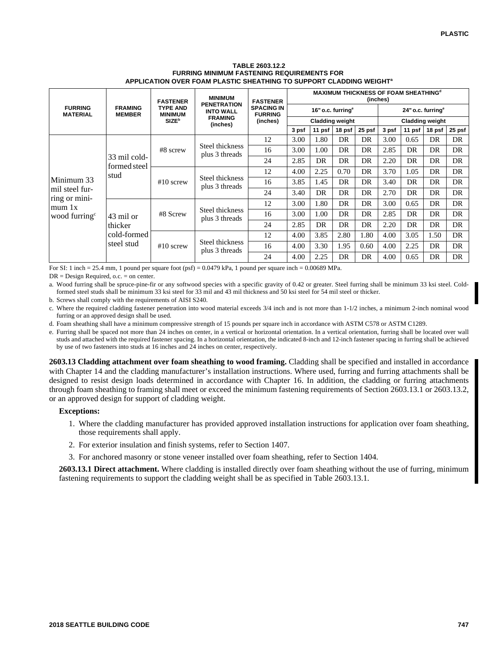#### **TABLE 2603.12.2 FURRING MINIMUM FASTENING REQUIREMENTS FOR APPLICATION OVER FOAM PLASTIC SHEATHING TO SUPPORT CLADDING WEIGHT<sup>a</sup>**

|                                                                                      |                                      | <b>FASTENER</b>                   | <b>MINIMUM</b>                         | <b>FASTENER</b>                                                                                                                                                                     | <b>MAXIMUM THICKNESS OF FOAM SHEATHING<sup>d</sup></b><br>(inches) |                                                         |        |        |              |                               |        |        |  |
|--------------------------------------------------------------------------------------|--------------------------------------|-----------------------------------|----------------------------------------|-------------------------------------------------------------------------------------------------------------------------------------------------------------------------------------|--------------------------------------------------------------------|---------------------------------------------------------|--------|--------|--------------|-------------------------------|--------|--------|--|
| <b>FURRING</b><br><b>MATERIAL</b>                                                    | <b>FRAMING</b><br><b>MEMBER</b>      | <b>TYPE AND</b><br><b>MINIMUM</b> | <b>PENETRATION</b><br><b>INTO WALL</b> | <b>SPACING IN</b><br><b>FURRING</b>                                                                                                                                                 |                                                                    | 16" o.c. furring <sup>e</sup><br><b>Cladding weight</b> |        |        |              | 24" o.c. furring <sup>e</sup> |        |        |  |
|                                                                                      |                                      | <b>SIZE</b> <sup>b</sup>          | <b>FRAMING</b><br>(inches)             | (inches)                                                                                                                                                                            |                                                                    |                                                         |        |        |              | <b>Cladding weight</b>        |        |        |  |
|                                                                                      |                                      |                                   |                                        |                                                                                                                                                                                     | 3 psf                                                              | 11 psf                                                  | 18 psf | 25 psf | 3 psf        | 11 psf                        | 18 psf | 25 psf |  |
|                                                                                      |                                      |                                   |                                        | 12                                                                                                                                                                                  | 3.00                                                               | 1.80                                                    | DR.    | DR     | 3.00         | 0.65                          | DR     | DR     |  |
|                                                                                      | 33 mil cold-<br>formed steel<br>stud | #8 screw                          | Steel thickness<br>plus 3 threads      | 16                                                                                                                                                                                  | 3.00                                                               | 1.00                                                    | DR     | DR     | 2.85         | DR                            | DR     | DR     |  |
| Minimum 33<br>mil steel fur-<br>ring or mini-<br>mum 1x<br>wood furring <sup>c</sup> |                                      |                                   |                                        | 24                                                                                                                                                                                  | 2.85                                                               | DR                                                      | DR     | DR     | 2.20         | DR                            | DR     | DR     |  |
|                                                                                      |                                      | $#10$ screw                       |                                        | 12                                                                                                                                                                                  | 4.00                                                               | 2.25                                                    | 0.70   | DR     | 3.70<br>1.05 | DR                            | DR     |        |  |
|                                                                                      |                                      |                                   |                                        | 1.45<br>3.85<br>DR<br>16                                                                                                                                                            | DR                                                                 | 3.40                                                    | DR     | DR     | DR           |                               |        |        |  |
|                                                                                      |                                      |                                   |                                        | 24                                                                                                                                                                                  | 3.40                                                               | DR                                                      | DR     | DR     | 2.70         | DR                            | DR     | DR     |  |
|                                                                                      | 43 mil or<br>thicker                 | #8 Screw                          |                                        | 12                                                                                                                                                                                  | 3.00                                                               | 1.80                                                    | DR     | DR     | 3.00         | 0.65                          | DR     | DR     |  |
|                                                                                      |                                      |                                   |                                        | 16                                                                                                                                                                                  | 3.00                                                               | 1.00                                                    | DR     | DR     | 2.85         | DR                            | DR     | DR     |  |
|                                                                                      |                                      |                                   |                                        | 24                                                                                                                                                                                  | 2.85                                                               | DR                                                      | DR     | DR     | 2.20         | DR                            | DR     | DR     |  |
|                                                                                      | cold-formed                          | $#10$ screw                       |                                        | 12                                                                                                                                                                                  | 4.00                                                               | 3.85                                                    | 2.80   | 1.80   | 4.00         | 3.05                          | 1.50   | DR     |  |
|                                                                                      | steel stud                           |                                   |                                        | Steel thickness<br>plus 3 threads<br>Steel thickness<br>plus 3 threads<br>Steel thickness<br>1.95<br>16<br>4.00<br>3.30<br>0.60<br>plus 3 threads<br>2.25<br>DR<br>24<br>4.00<br>DR |                                                                    | 4.00                                                    | 2.25   | DR     | DR           |                               |        |        |  |
|                                                                                      |                                      |                                   |                                        |                                                                                                                                                                                     |                                                                    |                                                         |        |        | 4.00         | 0.65                          | DR     | DR     |  |

For SI: 1 inch  $= 25.4$  mm, 1 pound per square foot (psf)  $= 0.0479$  kPa, 1 pound per square inch  $= 0.00689$  MPa.

DR = Design Required, o.c. = on center.

a. Wood furring shall be spruce-pine-fir or any softwood species with a specific gravity of 0.42 or greater. Steel furring shall be minimum 33 ksi steel. Coldformed steel studs shall be minimum 33 ksi steel for 33 mil and 43 mil thickness and 50 ksi steel for 54 mil steel or thicker.

b. Screws shall comply with the requirements of AISI S240.

c. Where the required cladding fastener penetration into wood material exceeds 3/4 inch and is not more than 1-1/2 inches, a minimum 2-inch nominal wood furring or an approved design shall be used.

d. Foam sheathing shall have a minimum compressive strength of 15 pounds per square inch in accordance with ASTM C578 or ASTM C1289.

e. Furring shall be spaced not more than 24 inches on center, in a vertical or horizontal orientation. In a vertical orientation, furring shall be located over wall studs and attached with the required fastener spacing. In a horizontal orientation, the indicated 8-inch and 12-inch fastener spacing in furring shall be achieved by use of two fasteners into studs at 16 inches and 24 inches on center, respectively.

**2603.13 Cladding attachment over foam sheathing to wood framing.** Cladding shall be specified and installed in accordance with Chapter 14 and the cladding manufacturer's installation instructions. Where used, furring and furring attachments shall be designed to resist design loads determined in accordance with Chapter 16. In addition, the cladding or furring attachments through foam sheathing to framing shall meet or exceed the minimum fastening requirements of Section 2603.13.1 or 2603.13.2, or an approved design for support of cladding weight.

### **Exceptions:**

- 1. Where the cladding manufacturer has provided approved installation instructions for application over foam sheathing, those requirements shall apply.
- 2. For exterior insulation and finish systems, refer to Section 1407.
- 3. For anchored masonry or stone veneer installed over foam sheathing, refer to Section 1404.

**2603.13.1 Direct attachment.** Where cladding is installed directly over foam sheathing without the use of furring, minimum fastening requirements to support the cladding weight shall be as specified in Table 2603.13.1.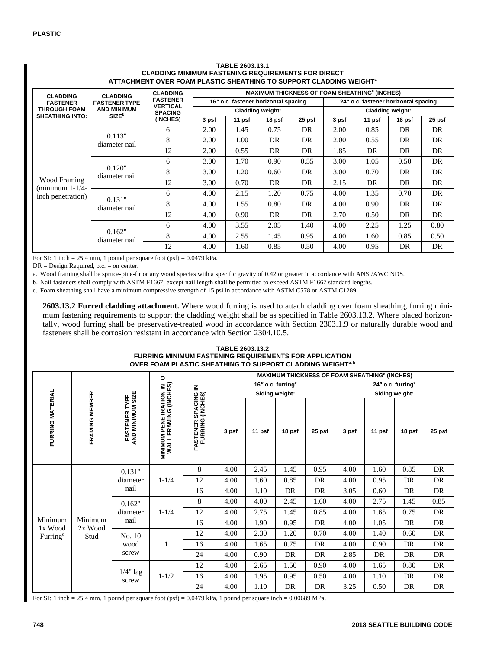| <b>CLADDING</b>                  | <b>CLADDING</b>          | <b>CLADDING</b>                    | <b>MAXIMUM THICKNESS OF FOAM SHEATHING<sup>c</sup> (INCHES)</b> |                                      |                         |        |                                      |        |        |        |  |  |
|----------------------------------|--------------------------|------------------------------------|-----------------------------------------------------------------|--------------------------------------|-------------------------|--------|--------------------------------------|--------|--------|--------|--|--|
| <b>FASTENER</b>                  | <b>FASTENER TYPE</b>     | <b>FASTENER</b><br><b>VERTICAL</b> |                                                                 | 16" o.c. fastener horizontal spacing |                         |        | 24" o.c. fastener horizontal spacing |        |        |        |  |  |
| <b>THROUGH FOAM</b>              | <b>AND MINIMUM</b>       | <b>SPACING</b>                     |                                                                 |                                      | <b>Cladding weight:</b> |        | <b>Cladding weight:</b>              |        |        |        |  |  |
| <b>SHEATHING INTO:</b>           | <b>SIZE</b> <sup>b</sup> | (INCHES)                           | 3 psf                                                           | 11 psf                               | 18 psf                  | 25 psf | 3 psf                                | 11 psf | 18 psf | 25 psf |  |  |
|                                  |                          | 6                                  | 2.00                                                            | 1.45                                 | 0.75                    | DR     | 2.00                                 | 0.85   | DR     | DR     |  |  |
|                                  | 0.113"<br>diameter nail  | 8                                  | 2.00                                                            | 1.00                                 | DR                      | DR     | 2.00                                 | 0.55   | DR     | DR     |  |  |
|                                  |                          | 12                                 | 2.00                                                            | 0.55                                 | DR                      | DR     | 1.85                                 | DR     | DR     | DR     |  |  |
|                                  | 0.120"<br>diameter nail  | 6                                  | 3.00                                                            | 1.70                                 | 0.90                    | 0.55   | 3.00                                 | 1.05   | 0.50   | DR     |  |  |
|                                  |                          | 8                                  | 3.00                                                            | 1.20                                 | 0.60                    | DR     | 3.00                                 | 0.70   | DR     | DR     |  |  |
| Wood Framing<br>$minimum 1-1/4-$ |                          | 12                                 | 3.00                                                            | 0.70                                 | DR                      | DR     | 2.15                                 | DR     | DR     | DR     |  |  |
| inch penetration)                | 0.131"<br>diameter nail  | 6                                  | 4.00                                                            | 2.15                                 | 1.20                    | 0.75   | 4.00                                 | 1.35   | 0.70   | DR     |  |  |
|                                  |                          | 8                                  | 4.00                                                            | 1.55                                 | 0.80                    | DR     | 4.00                                 | 0.90   | DR     | DR     |  |  |
|                                  |                          | 12                                 | 4.00                                                            | 0.90                                 | DR                      | DR     | 2.70                                 | 0.50   | DR     | DR     |  |  |
|                                  |                          | 6                                  | 4.00                                                            | 3.55                                 | 2.05                    | 1.40   | 4.00                                 | 2.25   | 1.25   | 0.80   |  |  |
|                                  | 0.162"<br>diameter nail  | 8                                  | 4.00                                                            | 2.55                                 | 1.45                    | 0.95   | 4.00                                 | 1.60   | 0.85   | 0.50   |  |  |
|                                  |                          | 12                                 | 4.00                                                            | 1.60                                 | 0.85                    | 0.50   | 4.00                                 | 0.95   | DR     | DR     |  |  |

#### **TABLE 2603.13.1 CLADDING MINIMUM FASTENING REQUIREMENTS FOR DIRECT ATTACHMENT OVER FOAM PLASTIC SHEATHING TO SUPPORT CLADDING WEIGHT<sup>a</sup>**

For SI: 1 inch =  $25.4$  mm, 1 pound per square foot (psf) =  $0.0479$  kPa.

DR = Design Required, o.c. = on center.

a. Wood framing shall be spruce-pine-fir or any wood species with a specific gravity of 0.42 or greater in accordance with ANSI/AWC NDS.

b. Nail fasteners shall comply with ASTM F1667, except nail length shall be permitted to exceed ASTM F1667 standard lengths.

c. Foam sheathing shall have a minimum compressive strength of 15 psi in accordance with ASTM C578 or ASTM C1289.

**2603.13.2 Furred cladding attachment.** Where wood furring is used to attach cladding over foam sheathing, furring minimum fastening requirements to support the cladding weight shall be as specified in Table 2603.13.2. Where placed horizontally, wood furring shall be preservative-treated wood in accordance with Section 2303.1.9 or naturally durable wood and fasteners shall be corrosion resistant in accordance with Section 2304.10.5.

#### **TABLE 2603.13.2 FURRING MINIMUM FASTENING REQUIREMENTS FOR APPLICATION OVER FOAM PLASTIC SHEATHING TO SUPPORT CLADDING WEIGHTa, b**

|                                                  |                    |                                           |                                                   |      |                                              |                               |        |        |                               | MAXIMUM THICKNESS OF FOAM SHEATHING <sup>d</sup> (INCHES) |        |        |        |
|--------------------------------------------------|--------------------|-------------------------------------------|---------------------------------------------------|------|----------------------------------------------|-------------------------------|--------|--------|-------------------------------|-----------------------------------------------------------|--------|--------|--------|
|                                                  |                    |                                           |                                                   | Z    |                                              | 16" o.c. furring <sup>e</sup> |        |        | 24" o.c. furring <sup>e</sup> |                                                           |        |        |        |
|                                                  |                    |                                           |                                                   |      |                                              | Siding weight:                |        |        | Siding weight:                |                                                           |        |        |        |
| FURRING MATERIAL                                 | FRAMING MEMBER     | <b>FASTENER TYPE<br/>AND MINIMUM SIZE</b> | MINIMUM PENETRATION INTO<br>WALL FRAMING (INCHES) |      | <b>FASTENER SPACING<br/>FURRING (INCHES)</b> | 3 psf                         | 11 psf | 18 psf | 25 psf                        | 3 psf                                                     | 11 psf | 18 psf | 25 psf |
|                                                  |                    | 0.131"                                    | $1 - 1/4$<br>nail                                 | 8    | 4.00                                         | 2.45                          | 1.45   | 0.95   | 4.00                          | 1.60                                                      | 0.85   | DR     |        |
|                                                  |                    | diameter                                  |                                                   | 12   | 4.00                                         | 1.60                          | 0.85   | DR     | 4.00                          | 0.95                                                      | DR     | DR     |        |
|                                                  |                    |                                           |                                                   | 16   | 4.00                                         | 1.10                          | DR     | DR     | 3.05                          | 0.60                                                      | DR     | DR     |        |
|                                                  |                    | 0.162"                                    |                                                   | 8    | 4.00                                         | 4.00                          | 2.45   | 1.60   | 4.00                          | 2.75                                                      | 1.45   | 0.85   |        |
|                                                  | diameter           | $1 - 1/4$                                 | 12                                                | 4.00 | 2.75                                         | 1.45                          | 0.85   | 4.00   | 1.65                          | 0.75                                                      | DR     |        |        |
|                                                  | Minimum<br>Minimum | nail                                      |                                                   | 16   | 4.00                                         | 1.90                          | 0.95   | DR     | 4.00                          | 1.05                                                      | DR     | DR     |        |
| 1x Wood<br>2x Wood<br>Furring $\epsilon$<br>Stud | No. 10<br>wood     | 1                                         | 12                                                | 4.00 | 2.30                                         | 1.20                          | 0.70   | 4.00   | 1.40                          | 0.60                                                      | DR     |        |        |
|                                                  |                    |                                           | 16                                                | 4.00 | 1.65                                         | 0.75                          | DR     | 4.00   | 0.90                          | DR                                                        | DR     |        |        |
|                                                  |                    | screw                                     |                                                   | 24   | 4.00                                         | 0.90                          | DR     | DR     | 2.85                          | DR                                                        | DR     | DR     |        |
|                                                  |                    | $1/4$ " lag<br>screw                      | $1 - 1/2$                                         | 12   | 4.00                                         | 2.65                          | 1.50   | 0.90   | 4.00                          | 1.65                                                      | 0.80   | DR     |        |
|                                                  |                    |                                           |                                                   | 16   | 4.00                                         | 1.95                          | 0.95   | 0.50   | 4.00                          | 1.10                                                      | DR     | DR     |        |
|                                                  |                    |                                           |                                                   | 24   | 4.00                                         | 1.10                          | DR     | DR     | 3.25                          | 0.50                                                      | DR     | DR     |        |

For SI: 1 inch = 25.4 mm, 1 pound per square foot (psf) =  $0.0479$  kPa, 1 pound per square inch =  $0.00689$  MPa.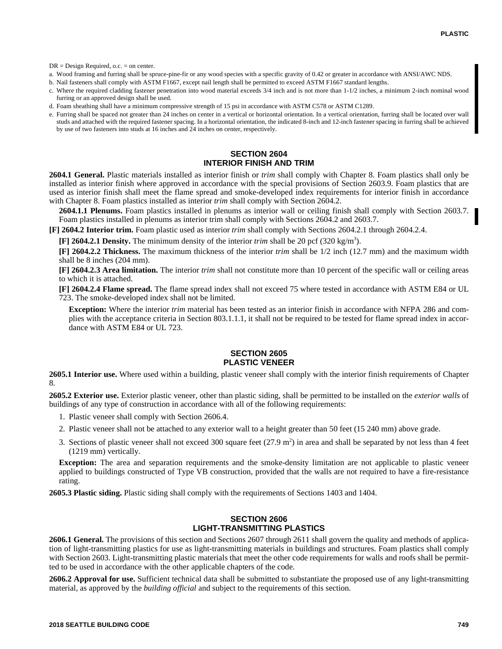DR = Design Required, o.c. = on center.

- a. Wood framing and furring shall be spruce-pine-fir or any wood species with a specific gravity of 0.42 or greater in accordance with ANSI/AWC NDS.
- b. Nail fasteners shall comply with ASTM F1667, except nail length shall be permitted to exceed ASTM F1667 standard lengths.
- c. Where the required cladding fastener penetration into wood material exceeds 3/4 inch and is not more than 1-1/2 inches, a minimum 2-inch nominal wood furring or an approved design shall be used.
- d. Foam sheathing shall have a minimum compressive strength of 15 psi in accordance with ASTM C578 or ASTM C1289.
- e. Furring shall be spaced not greater than 24 inches on center in a vertical or horizontal orientation. In a vertical orientation, furring shall be located over wall studs and attached with the required fastener spacing. In a horizontal orientation, the indicated 8-inch and 12-inch fastener spacing in furring shall be achieved by use of two fasteners into studs at 16 inches and 24 inches on center, respectively.

## **SECTION 2604 INTERIOR FINISH AND TRIM**

**2604.1 General.** Plastic materials installed as interior finish or *trim* shall comply with Chapter 8. Foam plastics shall only be installed as interior finish where approved in accordance with the special provisions of Section 2603.9. Foam plastics that are used as interior finish shall meet the flame spread and smoke-developed index requirements for interior finish in accordance with Chapter 8. Foam plastics installed as interior *trim* shall comply with Section 2604.2.

**2604.1.1 Plenums.** Foam plastics installed in plenums as interior wall or ceiling finish shall comply with Section 2603.7. Foam plastics installed in plenums as interior trim shall comply with Sections 2604.2 and 2603.7.

**[F] 2604.2 Interior trim.** Foam plastic used as interior *trim* shall comply with Sections 2604.2.1 through 2604.2.4.

 $[F]$  2604.2.1 Density. The minimum density of the interior *trim* shall be 20 pcf (320 kg/m<sup>3</sup>).

**[F] 2604.2.2 Thickness.** The maximum thickness of the interior *trim* shall be 1/2 inch (12.7 mm) and the maximum width shall be 8 inches (204 mm).

**[F] 2604.2.3 Area limitation.** The interior *trim* shall not constitute more than 10 percent of the specific wall or ceiling areas to which it is attached.

**[F] 2604.2.4 Flame spread.** The flame spread index shall not exceed 75 where tested in accordance with ASTM E84 or UL 723. The smoke-developed index shall not be limited.

**Exception:** Where the interior *trim* material has been tested as an interior finish in accordance with NFPA 286 and complies with the acceptance criteria in Section 803.1.1.1, it shall not be required to be tested for flame spread index in accordance with ASTM E84 or UL 723.

# **SECTION 2605 PLASTIC VENEER**

**2605.1 Interior use.** Where used within a building, plastic veneer shall comply with the interior finish requirements of Chapter 8.

**2605.2 Exterior use.** Exterior plastic veneer, other than plastic siding, shall be permitted to be installed on the *exterior walls* of buildings of any type of construction in accordance with all of the following requirements:

- 1. Plastic veneer shall comply with Section 2606.4.
- 2. Plastic veneer shall not be attached to any exterior wall to a height greater than 50 feet (15 240 mm) above grade.
- 3. Sections of plastic veneer shall not exceed 300 square feet  $(27.9 \text{ m}^2)$  in area and shall be separated by not less than 4 feet (1219 mm) vertically.

**Exception:** The area and separation requirements and the smoke-density limitation are not applicable to plastic veneer applied to buildings constructed of Type VB construction, provided that the walls are not required to have a fire-resistance rating.

**2605.3 Plastic siding.** Plastic siding shall comply with the requirements of Sections 1403 and 1404.

## **SECTION 2606 LIGHT-TRANSMITTING PLASTICS**

**2606.1 General.** The provisions of this section and Sections 2607 through 2611 shall govern the quality and methods of application of light-transmitting plastics for use as light-transmitting materials in buildings and structures. Foam plastics shall comply with Section 2603. Light-transmitting plastic materials that meet the other code requirements for walls and roofs shall be permitted to be used in accordance with the other applicable chapters of the code.

**2606.2 Approval for use.** Sufficient technical data shall be submitted to substantiate the proposed use of any light-transmitting material, as approved by the *building official* and subject to the requirements of this section.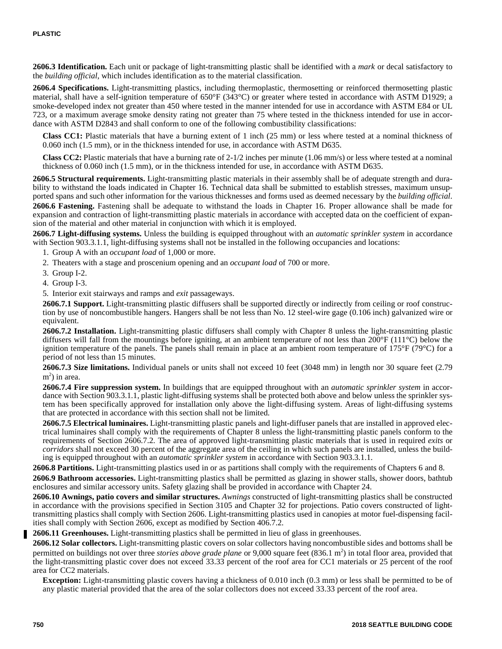**2606.3 Identification.** Each unit or package of light-transmitting plastic shall be identified with a *mark* or decal satisfactory to the *building official*, which includes identification as to the material classification.

**2606.4 Specifications.** Light-transmitting plastics, including thermoplastic, thermosetting or reinforced thermosetting plastic material, shall have a self-ignition temperature of 650°F (343°C) or greater where tested in accordance with ASTM D1929; a smoke-developed index not greater than 450 where tested in the manner intended for use in accordance with ASTM E84 or UL 723, or a maximum average smoke density rating not greater than 75 where tested in the thickness intended for use in accordance with ASTM D2843 and shall conform to one of the following combustibility classifications:

**Class CC1:** Plastic materials that have a burning extent of 1 inch (25 mm) or less where tested at a nominal thickness of 0.060 inch (1.5 mm), or in the thickness intended for use, in accordance with ASTM D635.

**Class CC2:** Plastic materials that have a burning rate of 2-1/2 inches per minute (1.06 mm/s) or less where tested at a nominal thickness of 0.060 inch (1.5 mm), or in the thickness intended for use, in accordance with ASTM D635.

**2606.5 Structural requirements.** Light-transmitting plastic materials in their assembly shall be of adequate strength and durability to withstand the loads indicated in Chapter 16. Technical data shall be submitted to establish stresses, maximum unsupported spans and such other information for the various thicknesses and forms used as deemed necessary by the *building official*.

**2606.6 Fastening.** Fastening shall be adequate to withstand the loads in Chapter 16. Proper allowance shall be made for expansion and contraction of light-transmitting plastic materials in accordance with accepted data on the coefficient of expansion of the material and other material in conjunction with which it is employed.

**2606.7 Light-diffusing systems.** Unless the building is equipped throughout with an *automatic sprinkler system* in accordance with Section 903.3.1.1, light-diffusing systems shall not be installed in the following occupancies and locations:

- 1. Group A with an *occupant load* of 1,000 or more.
- 2. Theaters with a stage and proscenium opening and an *occupant load* of 700 or more.
- 3. Group I-2.
- 4. Group I-3.
- 5. Interior exit stairways and ramps and *exit* passageways.

**2606.7.1 Support.** Light-transmitting plastic diffusers shall be supported directly or indirectly from ceiling or roof construction by use of noncombustible hangers. Hangers shall be not less than No. 12 steel-wire gage (0.106 inch) galvanized wire or equivalent.

**2606.7.2 Installation.** Light-transmitting plastic diffusers shall comply with Chapter 8 unless the light-transmitting plastic diffusers will fall from the mountings before igniting, at an ambient temperature of not less than  $200^\circ$ F (111 $^\circ$ C) below the ignition temperature of the panels. The panels shall remain in place at an ambient room temperature of  $175^\circ$ F ( $79^\circ$ C) for a period of not less than 15 minutes.

**2606.7.3 Size limitations.** Individual panels or units shall not exceed 10 feet (3048 mm) in length nor 30 square feet (2.79 m<sup>2</sup>) in area.

**2606.7.4 Fire suppression system.** In buildings that are equipped throughout with an *automatic sprinkler system* in accordance with Section 903.3.1.1, plastic light-diffusing systems shall be protected both above and below unless the sprinkler system has been specifically approved for installation only above the light-diffusing system. Areas of light-diffusing systems that are protected in accordance with this section shall not be limited.

**2606.7.5 Electrical luminaires.** Light-transmitting plastic panels and light-diffuser panels that are installed in approved electrical luminaires shall comply with the requirements of Chapter 8 unless the light-transmitting plastic panels conform to the requirements of Section 2606.7.2. The area of approved light-transmitting plastic materials that is used in required *exits* or *corridors* shall not exceed 30 percent of the aggregate area of the ceiling in which such panels are installed, unless the building is equipped throughout with an *automatic sprinkler system* in accordance with Section 903.3.1.1.

**2606.8 Partitions.** Light-transmitting plastics used in or as partitions shall comply with the requirements of Chapters 6 and 8. **2606.9 Bathroom accessories.** Light-transmitting plastics shall be permitted as glazing in shower stalls, shower doors, bathtub enclosures and similar accessory units. Safety glazing shall be provided in accordance with Chapter 24.

**2606.10 Awnings, patio covers and similar structures.** *Awnings* constructed of light-transmitting plastics shall be constructed in accordance with the provisions specified in Section 3105 and Chapter 32 for projections. Patio covers constructed of lighttransmitting plastics shall comply with Section 2606. Light-transmitting plastics used in canopies at motor fuel-dispensing facilities shall comply with Section 2606, except as modified by Section 406.7.2.

**2606.11 Greenhouses.** Light-transmitting plastics shall be permitted in lieu of glass in greenhouses.

**2606.12 Solar collectors.** Light-transmitting plastic covers on solar collectors having noncombustible sides and bottoms shall be permitted on buildings not over three *stories above grade plane* or 9,000 square feet (836.1 m<sup>2</sup>) in total floor area, provided that the light-transmitting plastic cover does not exceed 33.33 percent of the roof area for CC1 materials or 25 percent of the roof area for CC2 materials.

**Exception:** Light-transmitting plastic covers having a thickness of 0.010 inch (0.3 mm) or less shall be permitted to be of any plastic material provided that the area of the solar collectors does not exceed 33.33 percent of the roof area.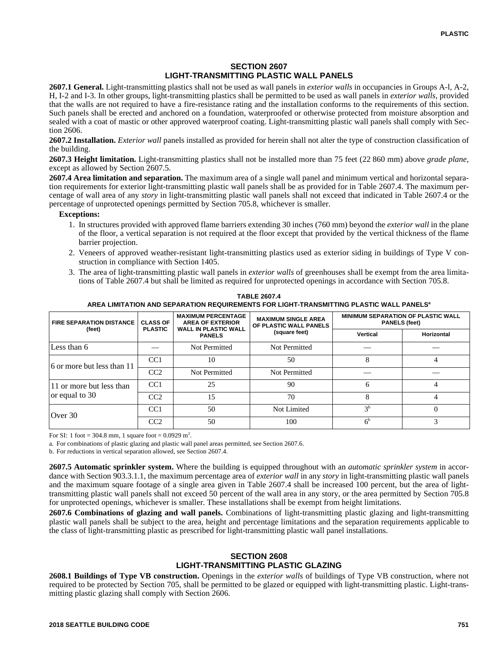## **SECTION 2607 LIGHT-TRANSMITTING PLASTIC WALL PANELS**

**2607.1 General.** Light-transmitting plastics shall not be used as wall panels in *exterior walls* in occupancies in Groups A-l, A-2, H, I-2 and I-3. In other groups, light-transmitting plastics shall be permitted to be used as wall panels in *exterior walls*, provided that the walls are not required to have a fire-resistance rating and the installation conforms to the requirements of this section. Such panels shall be erected and anchored on a foundation, waterproofed or otherwise protected from moisture absorption and sealed with a coat of mastic or other approved waterproof coating. Light-transmitting plastic wall panels shall comply with Section 2606.

**2607.2 Installation.** *Exterior wall* panels installed as provided for herein shall not alter the type of construction classification of the building.

**2607.3 Height limitation.** Light-transmitting plastics shall not be installed more than 75 feet (22 860 mm) above *grade plane*, except as allowed by Section 2607.5.

**2607.4 Area limitation and separation.** The maximum area of a single wall panel and minimum vertical and horizontal separation requirements for exterior light-transmitting plastic wall panels shall be as provided for in Table 2607.4. The maximum percentage of wall area of any *story* in light-transmitting plastic wall panels shall not exceed that indicated in Table 2607.4 or the percentage of unprotected openings permitted by Section 705.8, whichever is smaller.

#### **Exceptions:**

- 1. In structures provided with approved flame barriers extending 30 inches (760 mm) beyond the *exterior wall* in the plane of the floor, a vertical separation is not required at the floor except that provided by the vertical thickness of the flame barrier projection.
- 2. Veneers of approved weather-resistant light-transmitting plastics used as exterior siding in buildings of Type V construction in compliance with Section 1405.
- 3. The area of light-transmitting plastic wall panels in *exterior walls* of greenhouses shall be exempt from the area limitations of Table 2607.4 but shall be limited as required for unprotected openings in accordance with Section 705.8.

| <b>FIRE SEPARATION DISTANCE</b> | <b>CLASS OF</b><br><b>PLASTIC</b> | <b>MAXIMUM PERCENTAGE</b><br><b>AREA OF EXTERIOR</b><br><b>WALL IN PLASTIC WALL</b> | <b>MAXIMUM SINGLE AREA</b><br>OF PLASTIC WALL PANELS | <b>MINIMUM SEPARATION OF PLASTIC WALL</b><br><b>PANELS (feet)</b> |            |  |
|---------------------------------|-----------------------------------|-------------------------------------------------------------------------------------|------------------------------------------------------|-------------------------------------------------------------------|------------|--|
| (feet)                          |                                   | <b>PANELS</b>                                                                       | (square feet)                                        | Vertical                                                          | Horizontal |  |
| Less than 6                     |                                   | Not Permitted                                                                       | Not Permitted                                        |                                                                   |            |  |
| 6 or more but less than 11      | CC1                               | 10                                                                                  | 50                                                   |                                                                   |            |  |
|                                 | CC2                               | Not Permitted                                                                       | Not Permitted                                        |                                                                   |            |  |
| 11 or more but less than        | CC <sub>1</sub>                   | 25                                                                                  | 90                                                   | 6                                                                 |            |  |
| or equal to 30                  | CC2                               | 15                                                                                  | 70                                                   |                                                                   |            |  |
| Over 30                         | CC1                               | 50                                                                                  | Not Limited                                          | 3 <sup>b</sup>                                                    |            |  |
|                                 | CC2                               | 50                                                                                  | 100                                                  | 6 <sup>b</sup>                                                    |            |  |

**TABLE 2607.4 AREA LIMITATION AND SEPARATION REQUIREMENTS FOR LIGHT-TRANSMITTING PLASTIC WALL PANELS<sup>a</sup>**

For SI: 1 foot = 304.8 mm, 1 square foot =  $0.0929$  m<sup>2</sup>.

a. For combinations of plastic glazing and plastic wall panel areas permitted, see Section 2607.6.

b. For reductions in vertical separation allowed, see Section 2607.4.

**2607.5 Automatic sprinkler system.** Where the building is equipped throughout with an *automatic sprinkler system* in accordance with Section 903.3.1.1, the maximum percentage area of *exterior wall* in any *story* in light-transmitting plastic wall panels and the maximum square footage of a single area given in Table 2607.4 shall be increased 100 percent, but the area of lighttransmitting plastic wall panels shall not exceed 50 percent of the wall area in any story, or the area permitted by Section 705.8 for unprotected openings, whichever is smaller. These installations shall be exempt from height limitations.

**2607.6 Combinations of glazing and wall panels.** Combinations of light-transmitting plastic glazing and light-transmitting plastic wall panels shall be subject to the area, height and percentage limitations and the separation requirements applicable to the class of light-transmitting plastic as prescribed for light-transmitting plastic wall panel installations.

## **SECTION 2608 LIGHT-TRANSMITTING PLASTIC GLAZING**

**2608.1 Buildings of Type VB construction.** Openings in the *exterior walls* of buildings of Type VB construction, where not required to be protected by Section 705, shall be permitted to be glazed or equipped with light-transmitting plastic. Light-transmitting plastic glazing shall comply with Section 2606.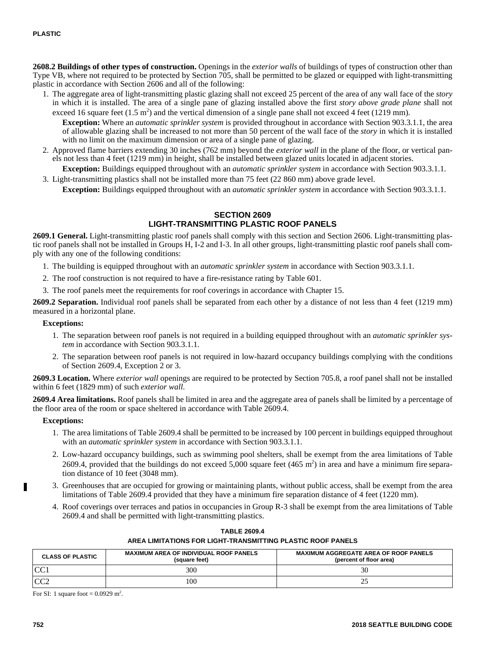**2608.2 Buildings of other types of construction.** Openings in the *exterior walls* of buildings of types of construction other than Type VB, where not required to be protected by Section 705, shall be permitted to be glazed or equipped with light-transmitting plastic in accordance with Section 2606 and all of the following:

1. The aggregate area of light-transmitting plastic glazing shall not exceed 25 percent of the area of any wall face of the *story* in which it is installed. The area of a single pane of glazing installed above the first *story above grade plane* shall not exceed 16 square feet  $(1.5 \text{ m}^2)$  and the vertical dimension of a single pane shall not exceed 4 feet (1219 mm).

**Exception:** Where an *automatic sprinkler system* is provided throughout in accordance with Section 903.3.1.1, the area of allowable glazing shall be increased to not more than 50 percent of the wall face of the *story* in which it is installed with no limit on the maximum dimension or area of a single pane of glazing.

2. Approved flame barriers extending 30 inches (762 mm) beyond the *exterior wall* in the plane of the floor, or vertical panels not less than 4 feet (1219 mm) in height, shall be installed between glazed units located in adjacent stories.

**Exception:** Buildings equipped throughout with an *automatic sprinkler system* in accordance with Section 903.3.1.1. 3. Light-transmitting plastics shall not be installed more than 75 feet (22 860 mm) above grade level.

**Exception:** Buildings equipped throughout with an *automatic sprinkler system* in accordance with Section 903.3.1.1.

## **SECTION 2609 LIGHT-TRANSMITTING PLASTIC ROOF PANELS**

**2609.1 General.** Light-transmitting plastic roof panels shall comply with this section and Section 2606. Light-transmitting plastic roof panels shall not be installed in Groups H, I-2 and I-3. In all other groups, light-transmitting plastic roof panels shall comply with any one of the following conditions:

- 1. The building is equipped throughout with an *automatic sprinkler system* in accordance with Section 903.3.1.1.
- 2. The roof construction is not required to have a fire-resistance rating by Table 601.
- 3. The roof panels meet the requirements for roof coverings in accordance with Chapter 15.

**2609.2 Separation.** Individual roof panels shall be separated from each other by a distance of not less than 4 feet (1219 mm) measured in a horizontal plane.

#### **Exceptions:**

- 1. The separation between roof panels is not required in a building equipped throughout with an *automatic sprinkler system* in accordance with Section 903.3.1.1.
- 2. The separation between roof panels is not required in low-hazard occupancy buildings complying with the conditions of Section 2609.4, Exception 2 or 3.

**2609.3 Location.** Where *exterior wall* openings are required to be protected by Section 705.8, a roof panel shall not be installed within 6 feet (1829 mm) of such *exterior wall*.

**2609.4 Area limitations.** Roof panels shall be limited in area and the aggregate area of panels shall be limited by a percentage of the floor area of the room or space sheltered in accordance with Table 2609.4.

### **Exceptions:**

- 1. The area limitations of Table 2609.4 shall be permitted to be increased by 100 percent in buildings equipped throughout with an *automatic sprinkler system* in accordance with Section 903.3.1.1.
- 2. Low-hazard occupancy buildings, such as swimming pool shelters, shall be exempt from the area limitations of Table 2609.4, provided that the buildings do not exceed 5,000 square feet  $(465 \text{ m}^2)$  in area and have a minimum fire separation distance of 10 feet (3048 mm).
- 3. Greenhouses that are occupied for growing or maintaining plants, without public access, shall be exempt from the area limitations of Table 2609.4 provided that they have a minimum fire separation distance of 4 feet (1220 mm).
- 4. Roof coverings over terraces and patios in occupancies in Group R-3 shall be exempt from the area limitations of Table 2609.4 and shall be permitted with light-transmitting plastics.

| <b>CLASS OF PLASTIC</b> | <b>MAXIMUM AREA OF INDIVIDUAL ROOF PANELS</b><br>(square feet) | <b>MAXIMUM AGGREGATE AREA OF ROOF PANELS</b><br>(percent of floor area) |
|-------------------------|----------------------------------------------------------------|-------------------------------------------------------------------------|
| CC1                     | 300                                                            |                                                                         |
| CC2                     | 100                                                            | --                                                                      |

# **TABLE 2609.4 AREA LIMITATIONS FOR LIGHT-TRANSMITTING PLASTIC ROOF PANELS**

For SI: 1 square foot =  $0.0929$  m<sup>2</sup>.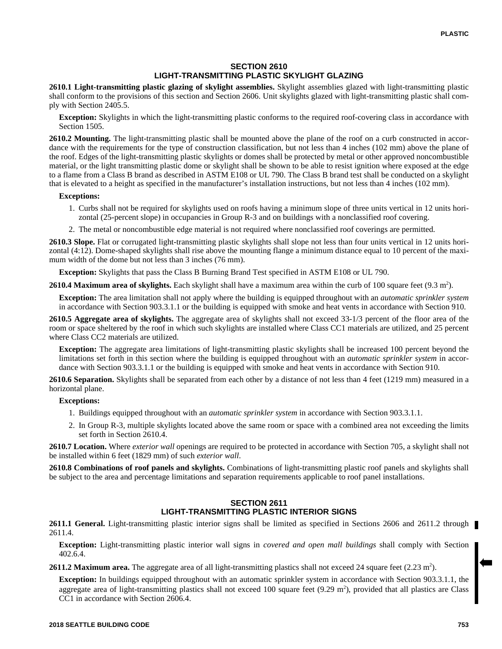## **SECTION 2610 LIGHT-TRANSMITTING PLASTIC SKYLIGHT GLAZING**

**2610.1 Light-transmitting plastic glazing of skylight assemblies.** Skylight assemblies glazed with light-transmitting plastic shall conform to the provisions of this section and Section 2606. Unit skylights glazed with light-transmitting plastic shall comply with Section 2405.5.

**Exception:** Skylights in which the light-transmitting plastic conforms to the required roof-covering class in accordance with Section 1505.

**2610.2 Mounting.** The light-transmitting plastic shall be mounted above the plane of the roof on a curb constructed in accordance with the requirements for the type of construction classification, but not less than 4 inches (102 mm) above the plane of the roof. Edges of the light-transmitting plastic skylights or domes shall be protected by metal or other approved noncombustible material, or the light transmitting plastic dome or skylight shall be shown to be able to resist ignition where exposed at the edge to a flame from a Class B brand as described in ASTM E108 or UL 790. The Class B brand test shall be conducted on a skylight that is elevated to a height as specified in the manufacturer's installation instructions, but not less than 4 inches (102 mm).

#### **Exceptions:**

- 1. Curbs shall not be required for skylights used on roofs having a minimum slope of three units vertical in 12 units horizontal (25-percent slope) in occupancies in Group R-3 and on buildings with a nonclassified roof covering.
- 2. The metal or noncombustible edge material is not required where nonclassified roof coverings are permitted.

**2610.3 Slope.** Flat or corrugated light-transmitting plastic skylights shall slope not less than four units vertical in 12 units horizontal (4:12). Dome-shaped skylights shall rise above the mounting flange a minimum distance equal to 10 percent of the maximum width of the dome but not less than 3 inches (76 mm).

**Exception:** Skylights that pass the Class B Burning Brand Test specified in ASTM E108 or UL 790.

**2610.4 Maximum area of skylights.** Each skylight shall have a maximum area within the curb of 100 square feet (9.3 m<sup>2</sup>).

**Exception:** The area limitation shall not apply where the building is equipped throughout with an *automatic sprinkler system* in accordance with Section 903.3.1.1 or the building is equipped with smoke and heat vents in accordance with Section 910.

**2610.5 Aggregate area of skylights.** The aggregate area of skylights shall not exceed 33-1/3 percent of the floor area of the room or space sheltered by the roof in which such skylights are installed where Class CC1 materials are utilized, and 25 percent where Class CC2 materials are utilized.

**Exception:** The aggregate area limitations of light-transmitting plastic skylights shall be increased 100 percent beyond the limitations set forth in this section where the building is equipped throughout with an *automatic sprinkler system* in accordance with Section 903.3.1.1 or the building is equipped with smoke and heat vents in accordance with Section 910.

**2610.6 Separation.** Skylights shall be separated from each other by a distance of not less than 4 feet (1219 mm) measured in a horizontal plane.

#### **Exceptions:**

- 1. Buildings equipped throughout with an *automatic sprinkler system* in accordance with Section 903.3.1.1.
- 2. In Group R-3, multiple skylights located above the same room or space with a combined area not exceeding the limits set forth in Section 2610.4.

**2610.7 Location.** Where *exterior wall* openings are required to be protected in accordance with Section 705, a skylight shall not be installed within 6 feet (1829 mm) of such *exterior wall*.

**2610.8 Combinations of roof panels and skylights.** Combinations of light-transmitting plastic roof panels and skylights shall be subject to the area and percentage limitations and separation requirements applicable to roof panel installations.

# **SECTION 2611 LIGHT-TRANSMITTING PLASTIC INTERIOR SIGNS**

**2611.1 General.** Light-transmitting plastic interior signs shall be limited as specified in Sections 2606 and 2611.2 through 2611.4.

**Exception:** Light-transmitting plastic interior wall signs in *covered and open mall buildings* shall comply with Section 402.6.4.

**2611.2 Maximum area.** The aggregate area of all light-transmitting plastics shall not exceed 24 square feet  $(2.23 \text{ m}^2)$ .

**Exception:** In buildings equipped throughout with an automatic sprinkler system in accordance with Section 903.3.1.1, the aggregate area of light-transmitting plastics shall not exceed 100 square feet  $(9.29 \text{ m}^2)$ , provided that all plastics are Class CC1 in accordance with Section 2606.4.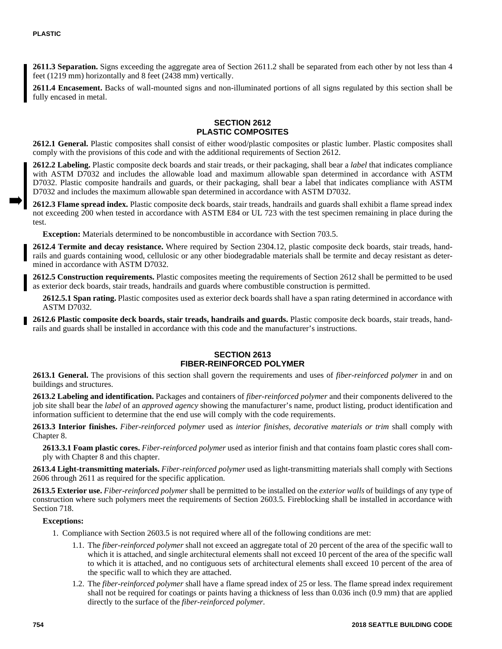**2611.3 Separation.** Signs exceeding the aggregate area of Section 2611.2 shall be separated from each other by not less than 4 feet (1219 mm) horizontally and 8 feet (2438 mm) vertically.

**2611.4 Encasement.** Backs of wall-mounted signs and non-illuminated portions of all signs regulated by this section shall be fully encased in metal.

#### **SECTION 2612 PLASTIC COMPOSITES**

**2612.1 General.** Plastic composites shall consist of either wood/plastic composites or plastic lumber. Plastic composites shall comply with the provisions of this code and with the additional requirements of Section 2612.

**2612.2 Labeling.** Plastic composite deck boards and stair treads, or their packaging, shall bear a *label* that indicates compliance with ASTM D7032 and includes the allowable load and maximum allowable span determined in accordance with ASTM D7032. Plastic composite handrails and guards, or their packaging, shall bear a label that indicates compliance with ASTM D7032 and includes the maximum allowable span determined in accordance with ASTM D7032.

**2612.3 Flame spread index.** Plastic composite deck boards, stair treads, handrails and guards shall exhibit a flame spread index not exceeding 200 when tested in accordance with ASTM E84 or UL 723 with the test specimen remaining in place during the test.

**Exception:** Materials determined to be noncombustible in accordance with Section 703.5.

**2612.4 Termite and decay resistance.** Where required by Section 2304.12, plastic composite deck boards, stair treads, handrails and guards containing wood, cellulosic or any other biodegradable materials shall be termite and decay resistant as determined in accordance with ASTM D7032.

**2612.5 Construction requirements.** Plastic composites meeting the requirements of Section 2612 shall be permitted to be used as exterior deck boards, stair treads, handrails and guards where combustible construction is permitted.

**2612.5.1 Span rating.** Plastic composites used as exterior deck boards shall have a span rating determined in accordance with ASTM D7032.

**2612.6 Plastic composite deck boards, stair treads, handrails and guards.** Plastic composite deck boards, stair treads, handrails and guards shall be installed in accordance with this code and the manufacturer's instructions.

# **SECTION 2613 FIBER-REINFORCED POLYMER**

**2613.1 General.** The provisions of this section shall govern the requirements and uses of *fiber-reinforced polymer* in and on buildings and structures.

**2613.2 Labeling and identification.** Packages and containers of *fiber-reinforced polymer* and their components delivered to the job site shall bear the *label* of an *approved agency* showing the manufacturer's name, product listing, product identification and information sufficient to determine that the end use will comply with the code requirements.

**2613.3 Interior finishes.** *Fiber-reinforced polymer* used as *interior finishes, decorative materials or trim* shall comply with Chapter 8.

**2613.3.1 Foam plastic cores.** *Fiber-reinforced polymer* used as interior finish and that contains foam plastic cores shall comply with Chapter 8 and this chapter.

**2613.4 Light-transmitting materials.** *Fiber-reinforced polymer* used as light-transmitting materials shall comply with Sections 2606 through 2611 as required for the specific application.

**2613.5 Exterior use.** *Fiber-reinforced polymer* shall be permitted to be installed on the *exterior walls* of buildings of any type of construction where such polymers meet the requirements of Section 2603.5. Fireblocking shall be installed in accordance with Section 718.

### **Exceptions:**

- 1. Compliance with Section 2603.5 is not required where all of the following conditions are met:
	- 1.1. The *fiber-reinforced polymer* shall not exceed an aggregate total of 20 percent of the area of the specific wall to which it is attached, and single architectural elements shall not exceed 10 percent of the area of the specific wall to which it is attached, and no contiguous sets of architectural elements shall exceed 10 percent of the area of the specific wall to which they are attached.
	- 1.2. The *fiber-reinforced polymer* shall have a flame spread index of 25 or less. The flame spread index requirement shall not be required for coatings or paints having a thickness of less than 0.036 inch (0.9 mm) that are applied directly to the surface of the *fiber-reinforced polymer.*